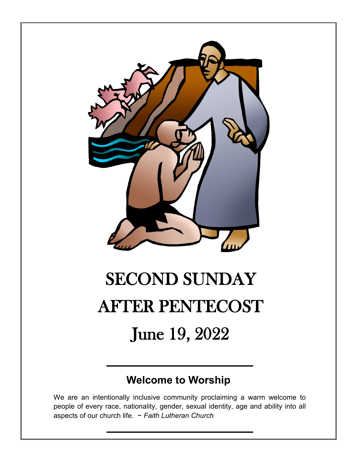

# SECOND SUNDAY AFTER PENTECOST June 19, 2022

## **Welcome to Worship**

We are an intentionally inclusive community proclaiming a warm welcome to people of every race, nationality, gender, sexual identity, age and ability into all aspects of our church life. ~ *Faith Lutheran Church*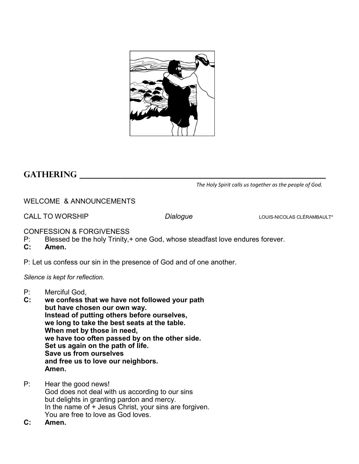

### GATHERING

*The Holy Spirit calls us together as the people of God.*

WELCOME & ANNOUNCEMENTS

CALL TO WORSHIP *Dialogue* LOUIS-NICOLAS CLÉRAMBAULT\*

CONFESSION & FORGIVENESS

- P: Blessed be the holy Trinity,+ one God, whose steadfast love endures forever.
- **C: Amen.**

P: Let us confess our sin in the presence of God and of one another.

*Silence is kept for reflection.*

- P: Merciful God,<br>C: we confess the
- we confess that we have not followed your path **but have chosen our own way. Instead of putting others before ourselves, we long to take the best seats at the table. When met by those in need, we have too often passed by on the other side. Set us again on the path of life. Save us from ourselves and free us to love our neighbors. Amen.**
- P: Hear the good news! God does not deal with us according to our sins but delights in granting pardon and mercy. In the name of + Jesus Christ, your sins are forgiven. You are free to love as God loves.
- **C: Amen.**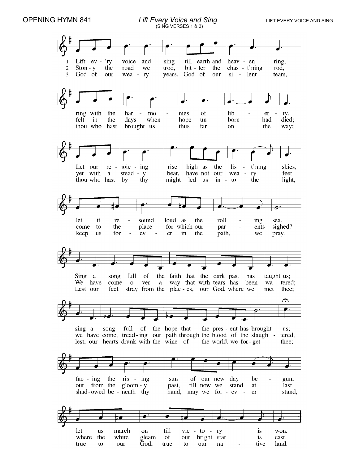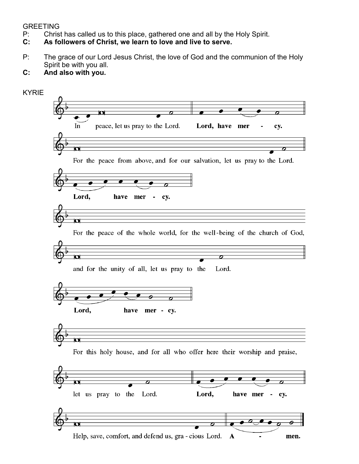- P: Christ has called us to this place, gathered one and all by the Holy Spirit.
- GREETING<br>P: Christ<br>**C: As fo C: As followers of Christ, we learn to love and live to serve.**
- P: The grace of our Lord Jesus Christ, the love of God and the communion of the Holy Spirit be with you all.

#### **C: And also with you.**

| <b>KYRIE</b> |                                                                               |  |  |
|--------------|-------------------------------------------------------------------------------|--|--|
|              | $\overline{\mathbf{u}}$<br>$\overline{\boldsymbol{\sigma}}$                   |  |  |
|              |                                                                               |  |  |
|              | peace, let us pray to the Lord.<br>In<br>Lord, have mer<br>cy.                |  |  |
|              |                                                                               |  |  |
|              | О                                                                             |  |  |
|              | For the peace from above, and for our salvation, let us pray to the Lord.     |  |  |
|              |                                                                               |  |  |
|              |                                                                               |  |  |
|              | Lord,<br>have<br>mer<br>cy.                                                   |  |  |
|              |                                                                               |  |  |
|              | ៍ប                                                                            |  |  |
|              | For the peace of the whole world, for the well-being of the church of God,    |  |  |
|              |                                                                               |  |  |
|              | σ<br>ο                                                                        |  |  |
|              | and for the unity of all, let us pray to the<br>Lord.                         |  |  |
|              |                                                                               |  |  |
|              |                                                                               |  |  |
|              |                                                                               |  |  |
|              | Lord,<br>have<br>mer - cy.                                                    |  |  |
|              |                                                                               |  |  |
|              | o                                                                             |  |  |
|              |                                                                               |  |  |
|              | For this holy house, and for all who offer here their worship and praise,     |  |  |
|              |                                                                               |  |  |
|              | ø<br>Ф<br>$\boldsymbol{\sigma}$<br>σ                                          |  |  |
|              | Lord.<br>let us pray to the<br>Lord,<br>have mer<br>cy.<br>٠                  |  |  |
|              |                                                                               |  |  |
|              |                                                                               |  |  |
|              | $\overline{\mathbf{u}}$<br>$\boldsymbol{\sigma}$                              |  |  |
|              | Help, save, comfort, and defend us, gra - cious Lord.<br>$\mathbf{A}$<br>men. |  |  |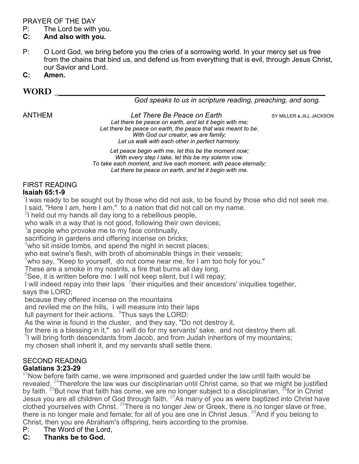#### PRAYER OF THE DAY

 $P:$  The Lord be with you.<br>**C:** And also with you.

#### **C: And also with you.**

- P: O Lord God, we bring before you the cries of a sorrowing world. In your mercy set us free from the chains that bind us, and defend us from everything that is evil, through Jesus Christ, our Savior and Lord.
- **C: Amen.**

#### **Word \_\_\_\_\_\_\_\_\_\_\_\_\_\_\_\_\_\_\_\_\_\_\_\_\_\_\_\_\_\_\_\_\_\_\_\_\_\_\_\_\_\_\_\_\_\_\_\_\_\_\_\_\_\_\_\_\_\_\_\_\_\_\_\_\_\_**

*God speaks to us in scripture reading, preaching, and song.*

ANTHEM *Let There Be Peace on Earth* SY MILLER & JILL JACKSON

*Let there be peace on earth, and let it begin with me; Let there be peace on earth, the peace that was meant to be. With God our creator, we are family; Let us walk with each other in perfect harmony.*

*Let peace begin with me, let this be the moment now; With every step I take, let this be my solemn vow. To take each moment, and live each moment, with peace eternally; Let there be peace on earth, and let it begin with me.*

#### FIRST READING **Isaiah 65:1-9**

 $1$  was ready to be sought out by those who did not ask, to be found by those who did not seek me.

I said, "Here I am, here I am," to a nation that did not call on my name.

 $^{2}$ I held out my hands all day long to a rebellious people,

who walk in a way that is not good, following their own devices;

 $3$ a people who provoke me to my face continually,

sacrificing in gardens and offering incense on bricks;

 $4$ who sit inside tombs, and spend the night in secret places;

who eat swine's flesh, with broth of abominable things in their vessels;

 $5$ who say, "Keep to yourself, do not come near me, for I am too holy for you."

These are a smoke in my nostrils, a fire that burns all day long.

 $6$ See, it is written before me: I will not keep silent, but I will repay;

I will indeed repay into their laps  $7$ their iniquities and their ancestors' iniquities together, says the LORD;

because they offered incense on the mountains

and reviled me on the hills, I will measure into their laps

full payment for their actions.  $~^{8}$ Thus says the LORD:

As the wine is found in the cluster, and they say, "Do not destroy it,

for there is a blessing in it," so I will do for my servants' sake, and not destroy them all.

 $^{\circ}$ l will bring forth descendants from Jacob, and from Judah inheritors of my mountains;

my chosen shall inherit it, and my servants shall settle there.

#### SECOND READING

#### **Galatians 3:23-29**

 $^{23}$ Now before faith came, we were imprisoned and guarded under the law until faith would be revealed. <sup>24</sup>Therefore the law was our disciplinarian until Christ came, so that we might be justified by faith.  $25$ But now that faith has come, we are no longer subject to a disciplinarian,  $26$  for in Christ Jesus you are all children of God through faith.  $27$ As many of you as were baptized into Christ have clothed yourselves with Christ.  $^{28}$ There is no longer Jew or Greek, there is no longer slave or free, there is no longer male and female; for all of you are one in Christ Jesus.  $^{29}$ And if you belong to Christ, then you are Abraham's offspring, heirs according to the promise.

- P: The Word of the Lord,
- **C: Thanks be to God.**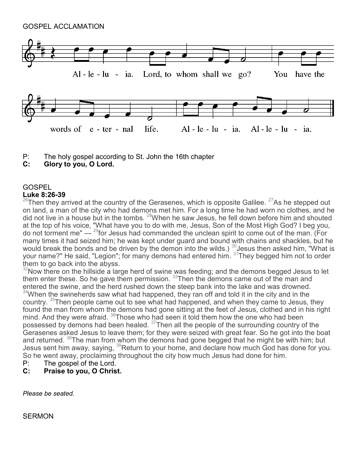GOSPEL ACCLAMATION



- P: The holy gospel according to St. John the 16th chapter<br>C: Glory to you. O Lord.
- **C: Glory to you, O Lord.**

#### **GOSPEL**

#### **Luke 8:26-39**

 $^{26}$ Then they arrived at the country of the Gerasenes, which is opposite Galilee.  $^{27}$ As he stepped out on land, a man of the city who had demons met him. For a long time he had worn no clothes, and he did not live in a house but in the tombs.  $^{28}$ When he saw Jesus, he fell down before him and shouted at the top of his voice, "What have you to do with me, Jesus, Son of the Most High God? I beg you, do not torment me"  $-$  <sup>29</sup>for Jesus had commanded the unclean spirit to come out of the man. (For many times it had seized him; he was kept under guard and bound with chains and shackles, but he would break the bonds and be driven by the demon into the wilds.)  $^{\rm 30}$ Jesus then asked him, "What is your name?" He said, "Legion"; for many demons had entered him. <sup>31</sup>They begged him not to order them to go back into the abyss.

 $32$ Now there on the hillside a large herd of swine was feeding; and the demons begged Jesus to let them enter these. So he gave them permission.  $^{33}$ Then the demons came out of the man and entered the swine, and the herd rushed down the steep bank into the lake and was drowned.  $34$ When the swineherds saw what had happened, they ran off and told it in the city and in the country. <sup>35</sup>Then people came out to see what had happened, and when they came to Jesus, they found the man from whom the demons had gone sitting at the feet of Jesus, clothed and in his right mind. And they were afraid.  $36$ Those who had seen it told them how the one who had been possessed by demons had been healed. <sup>37</sup>Then all the people of the surrounding country of the Gerasenes asked Jesus to leave them; for they were seized with great fear. So he got into the boat and returned.  $38$ The man from whom the demons had gone begged that he might be with him; but Jesus sent him away, saying,  $39$ Return to your home, and declare how much God has done for you. So he went away, proclaiming throughout the city how much Jesus had done for him.

- P: The gospel of the Lord.<br>**C:** Praise to you, O Chris
- Praise to you, O Christ.

*Please be seated.*

**SERMON**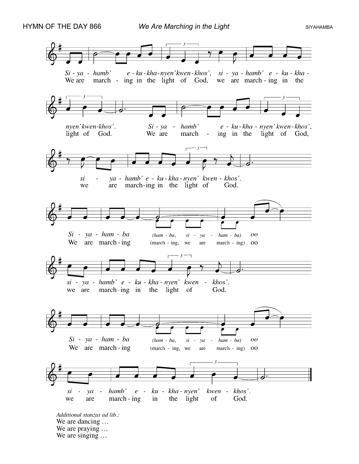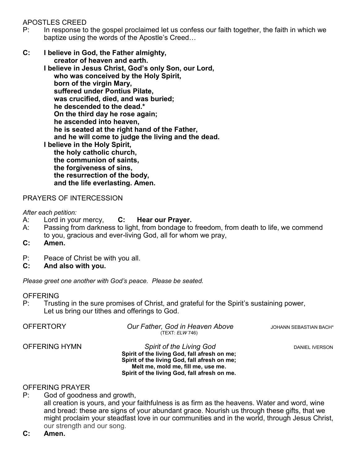APOSTLES CREED

- P: In response to the gospel proclaimed let us confess our faith together, the faith in which we baptize using the words of the Apostle's Creed…
- **C: I believe in God, the Father almighty, creator of heaven and earth.**

**I believe in Jesus Christ, God's only Son, our Lord, who was conceived by the Holy Spirit, born of the virgin Mary, suffered under Pontius Pilate, was crucified, died, and was buried; he descended to the dead.\* On the third day he rose again; he ascended into heaven, he is seated at the right hand of the Father, and he will come to judge the living and the dead. I believe in the Holy Spirit, the holy catholic church, the communion of saints, the forgiveness of sins, the resurrection of the body, and the life everlasting. Amen.**

PRAYERS OF INTERCESSION

*After each petition:*

- A: Lord in your mercy, **C: Hear our Prayer.**
- A: Passing from darkness to light, from bondage to freedom, from death to life, we commend to you, gracious and ever-living God, all for whom we pray,
- **C: Amen.**
- P: Peace of Christ be with you all.
- **C: And also with you.**

*Please greet one another with God's peace. Please be seated.* 

#### **OFFERING**

P: Trusting in the sure promises of Christ, and grateful for the Spirit's sustaining power, Let us bring our tithes and offerings to God.

| <b>OFFERTORY</b>     | Our Father, God in Heaven Above<br>(TEXT: <i>ELW</i> 746)                                                                                                                                                             | JOHANN SEBASTIAN BACH* |
|----------------------|-----------------------------------------------------------------------------------------------------------------------------------------------------------------------------------------------------------------------|------------------------|
| <b>OFFERING HYMN</b> | <b>Spirit of the Living God</b><br>Spirit of the living God, fall afresh on me;<br>Spirit of the living God, fall afresh on me;<br>Melt me, mold me, fill me, use me.<br>Spirit of the living God, fall afresh on me. | DANIEL IVERSON         |

#### OFFERING PRAYER

- P: God of goodness and growth,
	- all creation is yours, and your faithfulness is as firm as the heavens. Water and word, wine and bread: these are signs of your abundant grace. Nourish us through these gifts, that we might proclaim your steadfast love in our communities and in the world, through Jesus Christ, our strength and our song.
- **C: Amen.**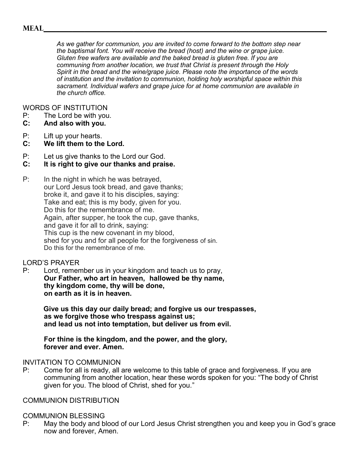#### **Meal\_\_\_\_\_\_\_\_\_\_\_\_\_\_\_\_\_\_\_\_\_\_\_\_\_\_\_\_\_\_\_\_\_\_\_\_\_\_\_\_\_\_\_\_\_\_\_\_\_\_\_\_\_\_\_\_\_\_\_\_\_\_\_\_\_\_\_\_\_**

*As we gather for communion, you are invited to come forward to the bottom step near the baptismal font. You will receive the bread (host) and the wine or grape juice. Gluten free wafers are available and the baked bread is gluten free. If you are communing from another location, we trust that Christ is present through the Holy Spirit in the bread and the wine/grape juice. Please note the importance of the words of institution and the invitation to communion, holding holy worshipful space within this sacrament. Individual wafers and grape juice for at home communion are available in the church office.* 

WORDS OF INSTITUTION

P: The Lord be with you.<br>**C:** And also with you.

#### **C: And also with you.**

- P: Lift up your hearts.
- **C: We lift them to the Lord.**
- P: Let us give thanks to the Lord our God.
- **C: It is right to give our thanks and praise.**
- P: In the night in which he was betrayed, our Lord Jesus took bread, and gave thanks; broke it, and gave it to his disciples, saying: Take and eat; this is my body, given for you. Do this for the remembrance of me. Again, after supper, he took the cup, gave thanks, and gave it for all to drink, saying: This cup is the new covenant in my blood, shed for you and for all people for the forgiveness of sin. Do this for the remembrance of me.

#### LORD'S PRAYER

P: Lord, remember us in your kingdom and teach us to pray, **Our Father, who art in heaven, hallowed be thy name, thy kingdom come, thy will be done, on earth as it is in heaven.**

**Give us this day our daily bread; and forgive us our trespasses, as we forgive those who trespass against us; and lead us not into temptation, but deliver us from evil.**

**For thine is the kingdom, and the power, and the glory, forever and ever. Amen.**

#### INVITATION TO COMMUNION

P: Come for all is ready, all are welcome to this table of grace and forgiveness. If you are communing from another location, hear these words spoken for you: "The body of Christ given for you. The blood of Christ, shed for you."

#### COMMUNION DISTRIBUTION

#### COMMUNION BLESSING

P: May the body and blood of our Lord Jesus Christ strengthen you and keep you in God's grace now and forever, Amen.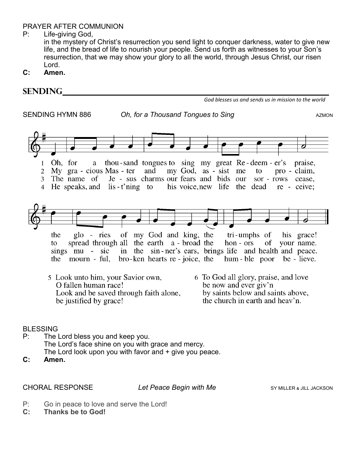#### PRAYER AFTER COMMUNION

P: Life-giving God,

in the mystery of Christ's resurrection you send light to conquer darkness, water to give new life, and the bread of life to nourish your people. Send us forth as witnesses to your Son's resurrection, that we may show your glory to all the world, through Jesus Christ, our risen Lord.

**C: Amen.**

| <b>SENDING</b>                                                                                                                                                                                                                                                                                    |                                                                                                                                                              |
|---------------------------------------------------------------------------------------------------------------------------------------------------------------------------------------------------------------------------------------------------------------------------------------------------|--------------------------------------------------------------------------------------------------------------------------------------------------------------|
|                                                                                                                                                                                                                                                                                                   | God blesses us and sends us in mission to the world                                                                                                          |
| SENDING HYMN 886<br>Oh, for a Thousand Tongues to Sing                                                                                                                                                                                                                                            | <b>AZMON</b>                                                                                                                                                 |
| thou-sand tongues to sing my great Re-deem-er's<br>Oh, for<br>a<br>My gra - cious Mas - ter<br>and<br>$\overline{2}$<br>Je - sus charms our fears and bids our<br>The name of<br>3<br>He speaks, and lis-t'ning to his voice, new life the dead re - ceive;<br>$\overline{4}$                     | praise,<br>my God, as - sist me<br>pro - claim,<br>to<br>sor - rows cease,                                                                                   |
| $g$ lo - ries<br>of my God and king, the<br>the<br>spread through all the earth a - broad the<br>to<br>sings mu - sic in the sin-ner's ears, brings life and health and peace.<br>mourn - ful, bro-ken hearts re - joice, the<br>the<br>5 Look unto him, your Savior own,<br>O fallen human race! | tri-umphs of<br>his grace!<br>$hon - ors$<br>of<br>your name.<br>hum - ble poor be - lieve.<br>6 To God all glory, praise, and love<br>be now and ever giv'n |
| Look and be saved through faith alone,<br>be justified by grace!                                                                                                                                                                                                                                  | by saints below and saints above,<br>the church in earth and heav'n.                                                                                         |
| <b>BLESSING</b><br>P:<br>The Lord bless you and keep you.<br>The Lord's face shine on you with grace and mercy.<br>The Lord look upon you with favor and + give you peace.                                                                                                                        |                                                                                                                                                              |

**C: Amen.**

CHORAL RESPONSE *Let Peace Begin with Me* SY MILLER & JILL JACKSON

- P: Go in peace to love and serve the Lord!<br> $C:$  Thanks be to God!
- **C: Thanks be to God!**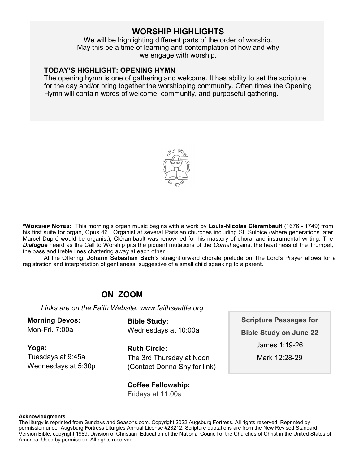#### **WORSHIP HIGHLIGHTS**

We will be highlighting different parts of the order of worship. May this be a time of learning and contemplation of how and why we engage with worship.

#### **TODAY'S HIGHLIGHT: OPENING HYMN**

The opening hymn is one of gathering and welcome. It has ability to set the scripture for the day and/or bring together the worshipping community. Often times the Opening Hymn will contain words of welcome, community, and purposeful gathering.



**\*Worship Notes:** This morning's organ music begins with a work by **Louis-Nicolas Clérambault** (1676 - 1749) from his first suite for organ, Opus 46. Organist at several Parisian churches including St. Sulpice (where generations later Marcel Dupré would be organist), Clérambault was renowned for his mastery of choral and instrumental writing. The *Dialogue* heard as the Call to Worship pits the piquant mutations of the *Cornet* against the heartiness of the Trumpet, the bass and treble lines chattering away at each other.

At the Offering, **Johann Sebastian Bach**'s straightforward chorale prelude on The Lord's Prayer allows for a registration and interpretation of gentleness, suggestive of a small child speaking to a parent.

#### **ON ZOOM**

*Links are on the Faith Website: www.faithseattle.org*

**Morning Devos:** Mon-Fri. 7:00a

**Bible Study:** Wednesdays at 10:00a

**Yoga:** 

Tuesdays at 9:45a Wednesdays at 5:30p **Ruth Circle:** The 3rd Thursday at Noon (Contact Donna Shy for link)

**Coffee Fellowship:**

Fridays at 11:00a

**Scripture Passages for Bible Study on June 22** James 1:19-26 Mark 12:28-29

#### **Acknowledgments**

The liturgy is reprinted from Sundays and Seasons.com. Copyright 2022 Augsburg Fortress. All rights reserved. Reprinted by permission under Augsburg Fortress Liturgies Annual License #23212. Scripture quotations are from the New Revised Standard Version Bible, copyright 1989, Division of Christian Education of the National Council of the Churches of Christ in the United States of America. Used by permission. All rights reserved.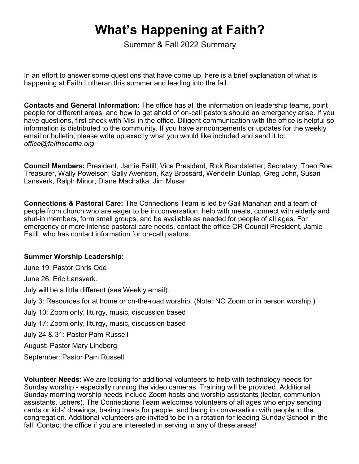## **What's Happening at Faith?**

Summer & Fall 2022 Summary

In an effort to answer some questions that have come up, here is a brief explanation of what is happening at Faith Lutheran this summer and leading into the fall.

**Contacts and General Information:** The office has all the information on leadership teams, point people for different areas, and how to get ahold of on-call pastors should an emergency arise. If you have questions, first check with Misi in the office. Diligent communication with the office is helpful so information is distributed to the community. If you have announcements or updates for the weekly email or bulletin, please write up exactly what you would like included and send it to: *office@faithseattle.org*

**Council Members:** President, Jamie Estill; Vice President, Rick Brandstetter; Secretary, Theo Roe; Treasurer, Wally Powelson; Sally Avenson, Kay Brossard, Wendelin Dunlap, Greg John, Susan Lansverk, Ralph Minor, Diane Machatka, Jim Musar

**Connections & Pastoral Care:** The Connections Team is led by Gail Manahan and a team of people from church who are eager to be in conversation, help with meals, connect with elderly and shut-in members, form small groups, and be available as needed for people of all ages. For emergency or more intense pastoral care needs, contact the office OR Council President, Jamie Estill, who has contact information for on-call pastors.

#### **Summer Worship Leadership:**

June 19: Pastor Chris Ode

June 26: Eric Lansverk.

July will be a little different (see Weekly email).

July 3: Resources for at home or on-the-road worship. (Note: NO Zoom or in person worship.)

July 10: Zoom only, liturgy, music, discussion based

July 17: Zoom only, liturgy, music, discussion based

July 24 & 31: Pastor Pam Russell

August: Pastor Mary Lindberg

September: Pastor Pam Russell

**Volunteer Needs**: We are looking for additional volunteers to help with technology needs for Sunday worship - especially running the video cameras. Training will be provided. Additional Sunday morning worship needs include Zoom hosts and worship assistants (lector, communion assistants, ushers). The Connections Team welcomes volunteers of all ages who enjoy sending cards or kids' drawings, baking treats for people, and being in conversation with people in the congregation. Additional volunteers are invited to be in a rotation for leading Sunday School in the fall. Contact the office if you are interested in serving in any of these areas!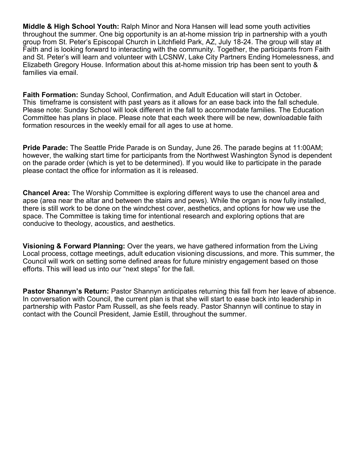**Middle & High School Youth:** Ralph Minor and Nora Hansen will lead some youth activities throughout the summer. One big opportunity is an at-home mission trip in partnership with a youth group from St. Peter's Episcopal Church in Litchfield Park, AZ, July 18-24. The group will stay at Faith and is looking forward to interacting with the community. Together, the participants from Faith and St. Peter's will learn and volunteer with LCSNW, Lake City Partners Ending Homelessness, and Elizabeth Gregory House. Information about this at-home mission trip has been sent to youth & families via email.

**Faith Formation:** Sunday School, Confirmation, and Adult Education will start in October. This timeframe is consistent with past years as it allows for an ease back into the fall schedule. Please note: Sunday School will look different in the fall to accommodate families. The Education Committee has plans in place. Please note that each week there will be new, downloadable faith formation resources in the weekly email for all ages to use at home.

**Pride Parade:** The Seattle Pride Parade is on Sunday, June 26. The parade begins at 11:00AM; however, the walking start time for participants from the Northwest Washington Synod is dependent on the parade order (which is yet to be determined). If you would like to participate in the parade please contact the office for information as it is released.

**Chancel Area:** The Worship Committee is exploring different ways to use the chancel area and apse (area near the altar and between the stairs and pews). While the organ is now fully installed, there is still work to be done on the windchest cover, aesthetics, and options for how we use the space. The Committee is taking time for intentional research and exploring options that are conducive to theology, acoustics, and aesthetics.

**Visioning & Forward Planning:** Over the years, we have gathered information from the Living Local process, cottage meetings, adult education visioning discussions, and more. This summer, the Council will work on setting some defined areas for future ministry engagement based on those efforts. This will lead us into our "next steps" for the fall.

**Pastor Shannyn's Return:** Pastor Shannyn anticipates returning this fall from her leave of absence. In conversation with Council, the current plan is that she will start to ease back into leadership in partnership with Pastor Pam Russell, as she feels ready. Pastor Shannyn will continue to stay in contact with the Council President, Jamie Estill, throughout the summer.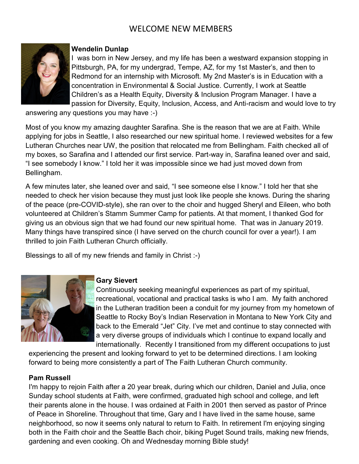### WELCOME NEW MEMBERS



#### **Wendelin Dunlap**

I was born in New Jersey, and my life has been a westward expansion stopping in Pittsburgh, PA, for my undergrad, Tempe, AZ, for my 1st Master's, and then to Redmond for an internship with Microsoft. My 2nd Master's is in Education with a concentration in Environmental & Social Justice. Currently, I work at Seattle Children's as a Health Equity, Diversity & Inclusion Program Manager. I have a passion for Diversity, Equity, Inclusion, Access, and Anti-racism and would love to try

answering any questions you may have :-)

Most of you know my amazing daughter Sarafina. She is the reason that we are at Faith. While applying for jobs in Seattle, I also researched our new spiritual home. I reviewed websites for a few Lutheran Churches near UW, the position that relocated me from Bellingham. Faith checked all of my boxes, so Sarafina and I attended our first service. Part-way in, Sarafina leaned over and said, "I see somebody I know." I told her it was impossible since we had just moved down from Bellingham.

A few minutes later, she leaned over and said, "I see someone else I know." I told her that she needed to check her vision because they must just look like people she knows. During the sharing of the peace (pre-COVID-style), she ran over to the choir and hugged Sheryl and Eileen, who both volunteered at Children's Stamm Summer Camp for patients. At that moment, I thanked God for giving us an obvious sign that we had found our new spiritual home. That was in January 2019. Many things have transpired since (I have served on the church council for over a year!). I am thrilled to join Faith Lutheran Church officially.

Blessings to all of my new friends and family in Christ :-)



#### **Gary Sievert**

Continuously seeking meaningful experiences as part of my spiritual, recreational, vocational and practical tasks is who I am. My faith anchored in the Lutheran tradition been a conduit for my journey from my hometown of Seattle to Rocky Boy's Indian Reservation in Montana to New York City and back to the Emerald "Jet" City. I've met and continue to stay connected with a very diverse groups of individuals which I continue to expand locally and internationally. Recently I transitioned from my different occupations to just

experiencing the present and looking forward to yet to be determined directions. I am looking forward to being more consistently a part of The Faith Lutheran Church community.

#### **Pam Russell**

I'm happy to rejoin Faith after a 20 year break, during which our children, Daniel and Julia, once Sunday school students at Faith, were confirmed, graduated high school and college, and left their parents alone in the house. I was ordained at Faith in 2001 then served as pastor of Prince of Peace in Shoreline. Throughout that time, Gary and I have lived in the same house, same neighborhood, so now it seems only natural to return to Faith. In retirement I'm enjoying singing both in the Faith choir and the Seattle Bach choir, biking Puget Sound trails, making new friends, gardening and even cooking. Oh and Wednesday morning Bible study!